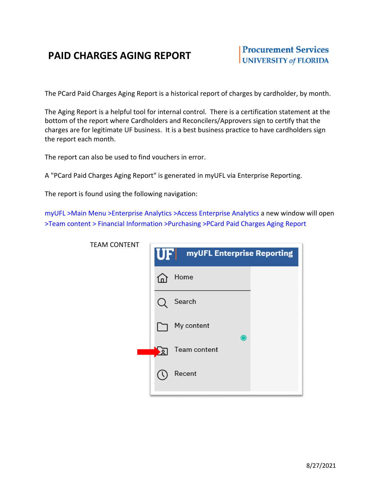## **PAID CHARGES AGING REPORT**

The PCard Paid Charges Aging Report is a historical report of charges by cardholder, by month.

The Aging Report is a helpful tool for internal control. There is a certification statement at the bottom of the report where Cardholders and Reconcilers/Approvers sign to certify that the charges are for legitimate UF business. It is a best business practice to have cardholders sign the report each month.

The report can also be used to find vouchers in error.

A "PCard Paid Charges Aging Report" is generated in myUFL via Enterprise Reporting.

The report is found using the following navigation:

myUFL >Main Menu >Enterprise Analytics >Access Enterprise Analytics a new window will open >Team content > Financial Information >Purchasing >PCard Paid Charges Aging Report

| <b>TEAM CONTENT</b> | UFI<br>myUFL Enterprise Reporting |  |  |  |  |  |  |
|---------------------|-----------------------------------|--|--|--|--|--|--|
|                     | Home<br>Ln.                       |  |  |  |  |  |  |
|                     | Search                            |  |  |  |  |  |  |
|                     | My content<br>$\bullet$           |  |  |  |  |  |  |
|                     | Team content<br>$\mathbf{a}$      |  |  |  |  |  |  |
|                     | Recent                            |  |  |  |  |  |  |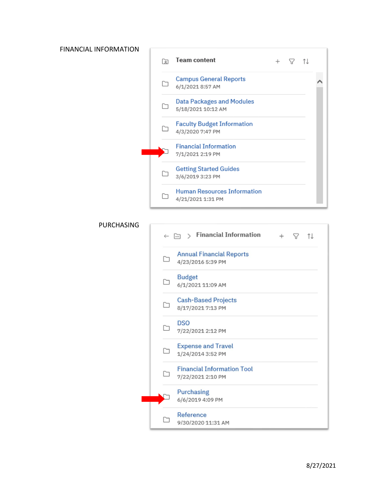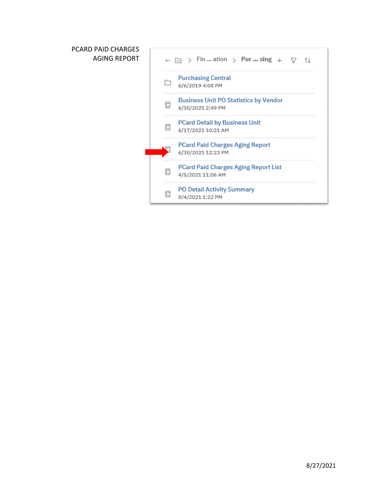## PCARD PAID CHARGES AGING REPORT

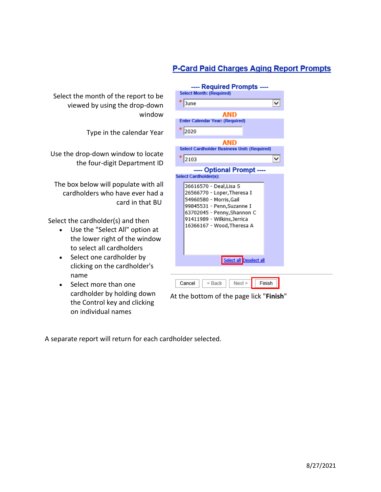## **P-Card Paid Charges Aging Report Prompts**

Select the month of the report to be viewed by using the drop-down window

Type in the calendar Year

Use the drop-down window to locate the four-digit Department ID

The box below will populate with all cardholders who have ever had a card in that BU

Select the cardholder(s) and then

- Use the "Select All" option at the lower right of the window to select all cardholders
- Select one cardholder by clicking on the cardholder's name
- Select more than one cardholder by holding down the Control key and clicking on individual names

| ---- Required Prompts ----<br><b>Select Month: (Required)</b>                                                                                                                                                                                                          |  |  |  |  |  |  |  |  |  |
|------------------------------------------------------------------------------------------------------------------------------------------------------------------------------------------------------------------------------------------------------------------------|--|--|--|--|--|--|--|--|--|
| June<br>◡                                                                                                                                                                                                                                                              |  |  |  |  |  |  |  |  |  |
| AND<br><b>Enter Calendar Year: (Required)</b><br>2020                                                                                                                                                                                                                  |  |  |  |  |  |  |  |  |  |
| <b>AND</b><br><b>Select Cardholder Business Unit: (Required)</b>                                                                                                                                                                                                       |  |  |  |  |  |  |  |  |  |
| 2103<br>◡                                                                                                                                                                                                                                                              |  |  |  |  |  |  |  |  |  |
| ---- Optional Prompt ----<br><b>Select Cardholder(s):</b><br>36616570 - Deal,Lisa S<br>26566770 - Loper, Theresa I<br>54960580 - Morris, Gail<br>99845531 - Penn, Suzanne I<br>63702045 - Penny, Shannon C<br>91411989 - Wilkins, Jerrica<br>16366167 - Wood,Theresa A |  |  |  |  |  |  |  |  |  |
| Select all Deselect all                                                                                                                                                                                                                                                |  |  |  |  |  |  |  |  |  |
| $<$ Back<br>Next<br>Finish<br>Cancel                                                                                                                                                                                                                                   |  |  |  |  |  |  |  |  |  |

At the bottom of the page lick "**Finish**"

A separate report will return for each cardholder selected.